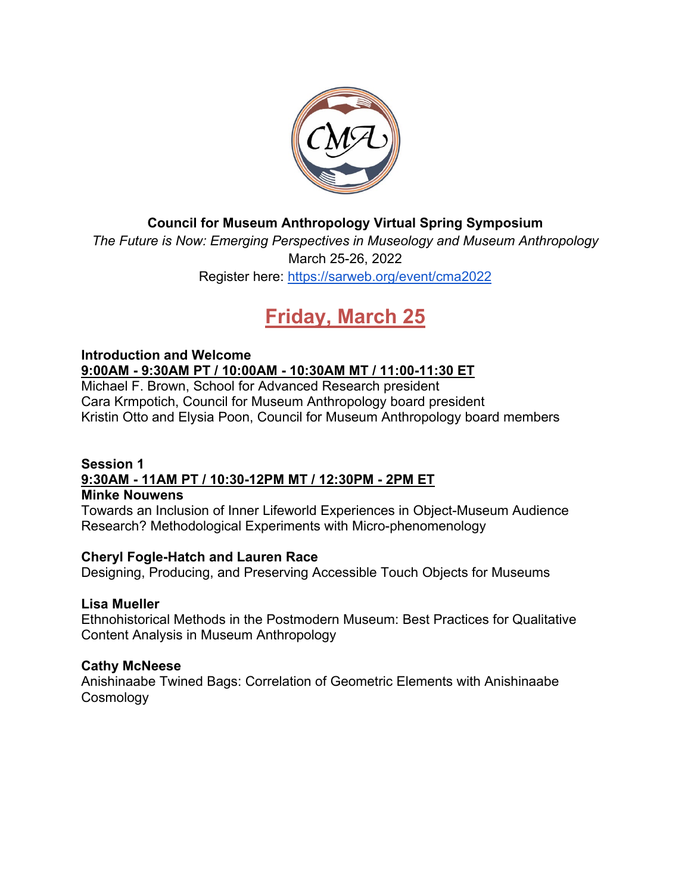

## **Council for Museum Anthropology Virtual Spring Symposium**

*The Future is Now: Emerging Perspectives in Museology and Museum Anthropology* March 25-26, 2022 Register here:<https://sarweb.org/event/cma2022>

# **Friday, March 25**

## **Introduction and Welcome 9:00AM - 9:30AM PT / 10:00AM - 10:30AM MT / 11:00-11:30 ET**

Michael F. Brown, School for Advanced Research president Cara Krmpotich, Council for Museum Anthropology board president Kristin Otto and Elysia Poon, Council for Museum Anthropology board members

#### **Session 1 9:30AM - 11AM PT / 10:30-12PM MT / 12:30PM - 2PM ET Minke Nouwens**

Towards an Inclusion of Inner Lifeworld Experiences in Object-Museum Audience Research? Methodological Experiments with Micro-phenomenology

## **Cheryl Fogle-Hatch and Lauren Race**

Designing, Producing, and Preserving Accessible Touch Objects for Museums

## **Lisa Mueller**

Ethnohistorical Methods in the Postmodern Museum: Best Practices for Qualitative Content Analysis in Museum Anthropology

## **Cathy McNeese**

Anishinaabe Twined Bags: Correlation of Geometric Elements with Anishinaabe **Cosmology**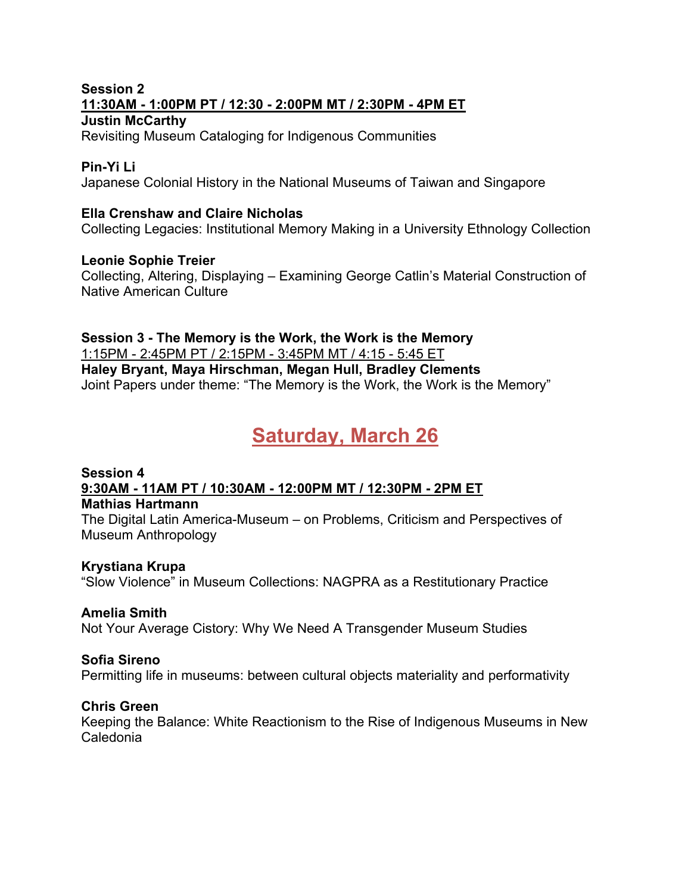#### **Session 2 11:30AM - 1:00PM PT / 12:30 - 2:00PM MT / 2:30PM - 4PM ET Justin McCarthy**

Revisiting Museum Cataloging for Indigenous Communities

## **Pin-Yi Li**

Japanese Colonial History in the National Museums of Taiwan and Singapore

### **Ella Crenshaw and Claire Nicholas**

Collecting Legacies: Institutional Memory Making in a University Ethnology Collection

#### **Leonie Sophie Treier**

Collecting, Altering, Displaying – Examining George Catlin's Material Construction of Native American Culture

## **Session 3 - The Memory is the Work, the Work is the Memory** 1:15PM - 2:45PM PT / 2:15PM - 3:45PM MT / 4:15 - 5:45 ET **Haley Bryant, Maya Hirschman, Megan Hull, Bradley Clements** Joint Papers under theme: "The Memory is the Work, the Work is the Memory"

# **Saturday, March 26**

# **Session 4 9:30AM - 11AM PT / 10:30AM - 12:00PM MT / 12:30PM - 2PM ET**

#### **Mathias Hartmann**

The Digital Latin America-Museum – on Problems, Criticism and Perspectives of Museum Anthropology

## **Krystiana Krupa**

"Slow Violence" in Museum Collections: NAGPRA as a Restitutionary Practice

## **Amelia Smith**

Not Your Average Cistory: Why We Need A Transgender Museum Studies

## **Sofia Sireno**

Permitting life in museums: between cultural objects materiality and performativity

## **Chris Green**

Keeping the Balance: White Reactionism to the Rise of Indigenous Museums in New Caledonia